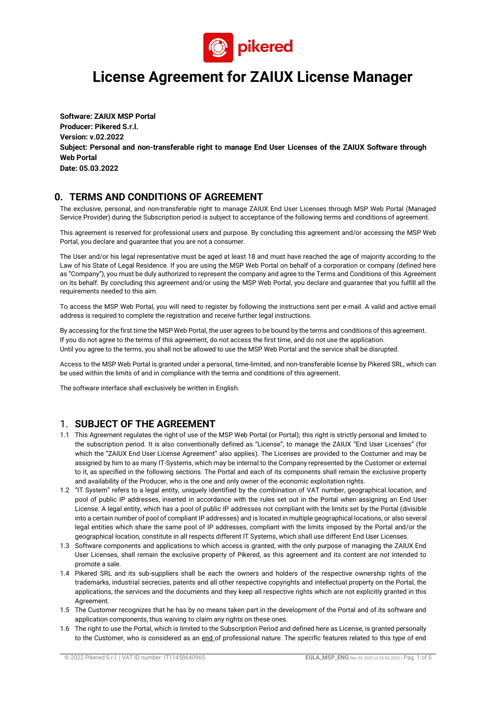

# **License Agreement for ZAIUX License Manager**

**Software: ZAIUX MSP Portal Producer: Pikered S.r.l. Version: v.02.2022 Subject: Personal and non-transferable right to manage End User Licenses of the ZAIUX Software through Web Portal Date: 05.03.2022**

#### **0. TERMS AND CONDITIONS OF AGREEMENT**

The exclusive, personal, and non-transferable right to manage ZAIUX End User Licenses through MSP Web Portal (Managed Service Provider) during the Subscription period is subject to acceptance of the following terms and conditions of agreement.

This agreement is reserved for professional users and purpose. By concluding this agreement and/or accessing the MSP Web Portal, you declare and guarantee that you are not a consumer.

The User and/or his legal representative must be aged at least 18 and must have reached the age of majority according to the Law of his State of Legal Residence. If you are using the MSP Web Portal on behalf of a corporation or company (defined here as "Company"), you must be duly authorized to represent the company and agree to the Terms and Conditions of this Agreement on its behalf. By concluding this agreement and/or using the MSP Web Portal, you declare and guarantee that you fulfill all the requirements needed to this aim.

To access the MSP Web Portal, you will need to register by following the instructions sent per e-mail. A valid and active email address is required to complete the registration and receive further legal instructions.

By accessing for the first time the MSP Web Portal, the user agrees to be bound by the terms and conditions of this agreement. If you do not agree to the terms of this agreement, do not access the first time, and do not use the application. Until you agree to the terms, you shall not be allowed to use the MSP Web Portal and the service shall be disrupted.

Access to the MSP Web Portal is granted under a personal, time-limited, and non-transferable license by Pikered SRL, which can be used within the limits of and in compliance with the terms and conditions of this agreement.

The software interface shall exclusively be written in English.

#### 1. **SUBJECT OF THE AGREEMENT**

- 1.1 This Agreement regulates the right of use of the MSP Web Portal (or Portal); this right is strictly personal and limited to the subscription period. It is also conventionally defined as "License", to manage the ZAIUX "End User Licenses" (for which the "ZAIUX End User License Agreement" also applies). The Licenses are provided to the Costumer and may be assigned by him to as many IT-Systems, which may be internal to the Company represented by the Customer or external to it, as specified in the following sections. The Portal and each of its components shall remain the exclusive property and availability of the Producer, who is the one and only owner of the economic exploitation rights.
- 1.2 "IT System" refers to a legal entity, uniquely identified by the combination of VAT number, geographical location, and pool of public IP addresses, inserted in accordance with the rules set out in the Portal when assigning an End User License. A legal entity, which has a pool of public IP addresses not compliant with the limits set by the Portal (divisible into a certain number of pool of compliant IP addresses) and is located in multiple geographical locations, or also several legal entities which share the same pool of IP addresses, compliant with the limits imposed by the Portal and/or the geographical location, constitute in all respects different IT Systems, which shall use different End User Licenses.
- 1.3 Software components and applications to which access is granted, with the only purpose of managing the ZAIUX End User Licenses, shall remain the exclusive property of Pikered, as this agreement and its content are not intended to promote a sale.
- 1.4 Pikered SRL and its sub-suppliers shall be each the owners and holders of the respective ownership rights of the trademarks, industrial secrecies, patents and all other respective copyrights and intellectual property on the Portal, the applications, the services and the documents and they keep all respective rights which are not explicitly granted in this Agreement.
- 1.5 The Customer recognizes that he has by no means taken part in the development of the Portal and of its software and application components, thus waiving to claim any rights on these ones.
- 1.6 The right to use the Portal, which is limited to the Subscription Period and defined here as License, is granted personally to the Customer, who is considered as an end of professional nature. The specific features related to this type of end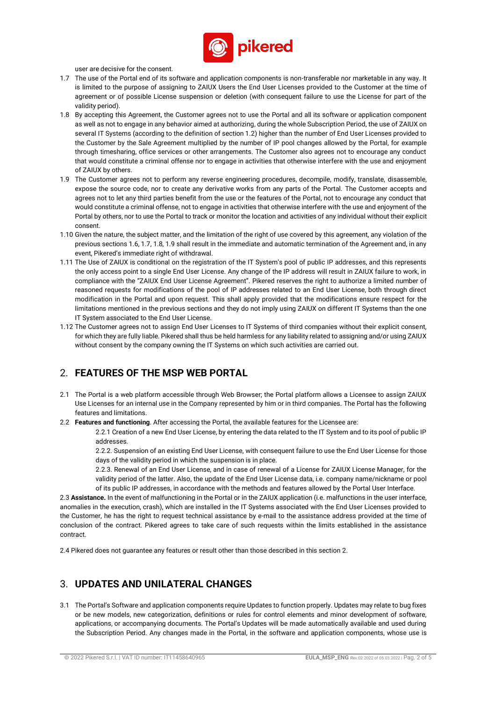

user are decisive for the consent.

- 1.7 The use of the Portal end of its software and application components is non-transferable nor marketable in any way. It is limited to the purpose of assigning to ZAIUX Users the End User Licenses provided to the Customer at the time of agreement or of possible License suspension or deletion (with consequent failure to use the License for part of the validity period).
- 1.8 By accepting this Agreement, the Customer agrees not to use the Portal and all its software or application component as well as not to engage in any behavior aimed at authorizing, during the whole Subscription Period, the use of ZAIUX on several IT Systems (according to the definition of section 1.2) higher than the number of End User Licenses provided to the Customer by the Sale Agreement multiplied by the number of IP pool changes allowed by the Portal, for example through timesharing, office services or other arrangements. The Customer also agrees not to encourage any conduct that would constitute a criminal offense nor to engage in activities that otherwise interfere with the use and enjoyment of ZAIUX by others.
- 1.9 The Customer agrees not to perform any reverse engineering procedures, decompile, modify, translate, disassemble, expose the source code, nor to create any derivative works from any parts of the Portal. The Customer accepts and agrees not to let any third parties benefit from the use or the features of the Portal, not to encourage any conduct that would constitute a criminal offense, not to engage in activities that otherwise interfere with the use and enjoyment of the Portal by others, nor to use the Portal to track or monitor the location and activities of any individual without their explicit consent.
- 1.10 Given the nature, the subject matter, and the limitation of the right of use covered by this agreement, any violation of the previous sections 1.6, 1.7, 1.8, 1.9 shall result in the immediate and automatic termination of the Agreement and, in any event, Pikered's immediate right of withdrawal.
- 1.11 The Use of ZAIUX is conditional on the registration of the IT System's pool of public IP addresses, and this represents the only access point to a single End User License. Any change of the IP address will result in ZAIUX failure to work, in compliance with the "ZAIUX End User License Agreement". Pikered reserves the right to authorize a limited number of reasoned requests for modifications of the pool of IP addresses related to an End User License, both through direct modification in the Portal and upon request. This shall apply provided that the modifications ensure respect for the limitations mentioned in the previous sections and they do not imply using ZAIUX on different IT Systems than the one IT System associated to the End User License.
- 1.12 The Customer agrees not to assign End User Licenses to IT Systems of third companies without their explicit consent, for which they are fully liable. Pikered shall thus be held harmless for any liability related to assigning and/or using ZAIUX without consent by the company owning the IT Systems on which such activities are carried out.

# 2. **FEATURES OF THE MSP WEB PORTAL**

- 2.1 The Portal is a web platform accessible through Web Browser; the Portal platform allows a Licensee to assign ZAIUX Use Licenses for an internal use in the Company represented by him or in third companies. The Portal has the following features and limitations.
- 2.2 **Features and functioning**. After accessing the Portal, the available features for the Licensee are:
	- 2.2.1 Creation of a new End User License, by entering the data related to the IT System and to its pool of public IP addresses.
	- 2.2.2. Suspension of an existing End User License, with consequent failure to use the End User License for those days of the validity period in which the suspension is in place.

2.2.3. Renewal of an End User License, and in case of renewal of a License for ZAIUX License Manager, for the validity period of the latter. Also, the update of the End User License data, i.e. company name/nickname or pool of its public IP addresses, in accordance with the methods and features allowed by the Portal User Interface.

2.3 **Assistance.** In the event of malfunctioning in the Portal or in the ZAIUX application (i.e. malfunctions in the user interface, anomalies in the execution, crash), which are installed in the IT Systems associated with the End User Licenses provided to the Customer, he has the right to request technical assistance by e-mail to the assistance address provided at the time of conclusion of the contract. Pikered agrees to take care of such requests within the limits established in the assistance contract.

2.4 Pikered does not guarantee any features or result other than those described in this section 2.

# 3. **UPDATES AND UNILATERAL CHANGES**

3.1 The Portal's Software and application components require Updates to function properly. Updates may relate to bug fixes or be new models, new categorization, definitions or rules for control elements and minor development of software, applications, or accompanying documents. The Portal's Updates will be made automatically available and used during the Subscription Period. Any changes made in the Portal, in the software and application components, whose use is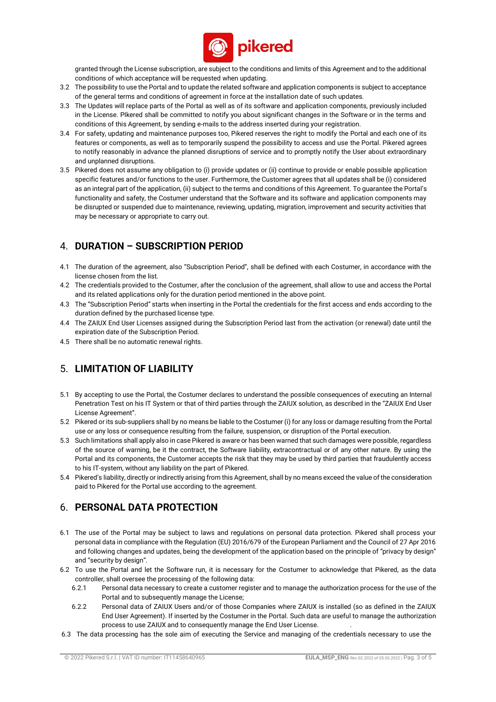

granted through the License subscription, are subject to the conditions and limits of this Agreement and to the additional conditions of which acceptance will be requested when updating.

- 3.2 The possibility to use the Portal and to update the related software and application components is subject to acceptance of the general terms and conditions of agreement in force at the installation date of such updates.
- 3.3 The Updates will replace parts of the Portal as well as of its software and application components, previously included in the License. PIkered shall be committed to notify you about significant changes in the Software or in the terms and conditions of this Agreement, by sending e-mails to the address inserted during your registration.
- 3.4 For safety, updating and maintenance purposes too, Pikered reserves the right to modify the Portal and each one of its features or components, as well as to temporarily suspend the possibility to access and use the Portal. Pikered agrees to notify reasonably in advance the planned disruptions of service and to promptly notify the User about extraordinary and unplanned disruptions.
- 3.5 Pikered does not assume any obligation to (i) provide updates or (ii) continue to provide or enable possible application specific features and/or functions to the user. Furthermore, the Customer agrees that all updates shall be (i) considered as an integral part of the application, (ii) subject to the terms and conditions of this Agreement. To guarantee the Portal's functionality and safety, the Costumer understand that the Software and its software and application components may be disrupted or suspended due to maintenance, reviewing, updating, migration, improvement and security activities that may be necessary or appropriate to carry out.

# 4. **DURATION – SUBSCRIPTION PERIOD**

- 4.1 The duration of the agreement, also "Subscription Period", shall be defined with each Costumer, in accordance with the license chosen from the list.
- 4.2 The credentials provided to the Costumer, after the conclusion of the agreement, shall allow to use and access the Portal and its related applications only for the duration period mentioned in the above point.
- 4.3 The "Subscription Period" starts when inserting in the Portal the credentials for the first access and ends according to the duration defined by the purchased license type.
- 4.4 The ZAIUX End User Licenses assigned during the Subscription Period last from the activation (or renewal) date until the expiration date of the Subscription Period.
- 4.5 There shall be no automatic renewal rights.

# 5. **LIMITATION OF LIABILITY**

- 5.1 By accepting to use the Portal, the Costumer declares to understand the possible consequences of executing an Internal Penetration Test on his IT System or that of third parties through the ZAIUX solution, as described in the "ZAIUX End User License Agreement".
- 5.2 Pikered or its sub-suppliers shall by no means be liable to the Costumer (i) for any loss or damage resulting from the Portal use or any loss or consequence resulting from the failure, suspension, or disruption of the Portal execution.
- 5.3 Such limitations shall apply also in case Pikered is aware or has been warned that such damages were possible, regardless of the source of warning, be it the contract, the Software liability, extracontractual or of any other nature. By using the Portal and its components, the Customer accepts the risk that they may be used by third parties that fraudulently access to his IT-system, without any liability on the part of Pikered.
- 5.4 Pikered's liability, directly or indirectly arising from this Agreement, shall by no means exceed the value of the consideration paid to Pikered for the Portal use according to the agreement.

# 6. **PERSONAL DATA PROTECTION**

- 6.1 The use of the Portal may be subject to laws and regulations on personal data protection. Pikered shall process your personal data in compliance with the Regulation (EU) 2016/679 of the European Parliament and the Council of 27 Apr 2016 and following changes and updates, being the development of the application based on the principle of "privacy by design" and "security by design".
- 6.2 To use the Portal and let the Software run, it is necessary for the Costumer to acknowledge that Pikered, as the data controller, shall oversee the processing of the following data:
	- 6.2.1 Personal data necessary to create a customer register and to manage the authorization process for the use of the Portal and to subsequently manage the License;
	- 6.2.2 Personal data of ZAIUX Users and/or of those Companies where ZAIUX is installed (so as defined in the ZAIUX End User Agreement). If inserted by the Costumer in the Portal. Such data are useful to manage the authorization process to use ZAIUX and to consequently manage the End User License. .
- 6.3 The data processing has the sole aim of executing the Service and managing of the credentials necessary to use the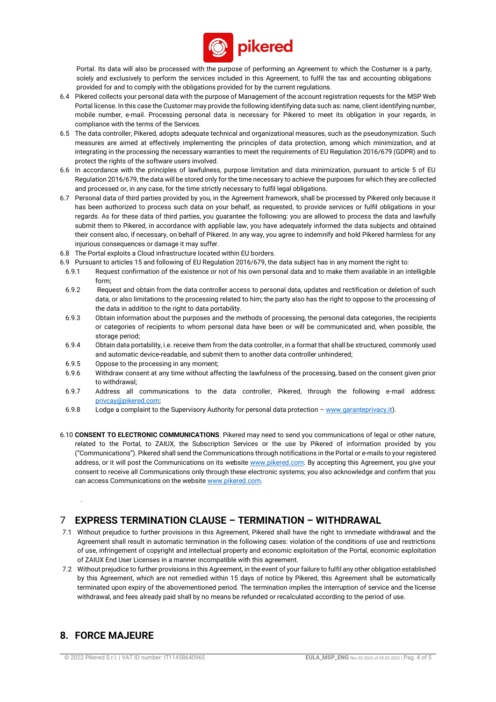

Portal. Its data will also be processed with the purpose of performing an Agreement to which the Costumer is a party, solely and exclusively to perform the services included in this Agreement, to fulfil the tax and accounting obligations provided for and to comply with the obligations provided for by the current regulations.

- 6.4 Pikered collects your personal data with the purpose of Management of the account registration requests for the MSP Web Portal license. In this case the Customer may provide the following identifying data such as: name, client identifying number, mobile number, e-mail. Processing personal data is necessary for Pikered to meet its obligation in your regards, in compliance with the terms of the Services.
- 6.5 The data controller, Pikered, adopts adequate technical and organizational measures, such as the pseudonymization. Such measures are aimed at effectively implementing the principles of data protection, among which minimization, and at integrating in the processing the necessary warranties to meet the requirements of EU Regulation 2016/679 (GDPR) and to protect the rights of the software users involved.
- 6.6 In accordance with the principles of lawfulness, purpose limitation and data minimization, pursuant to article 5 of EU Regulation 2016/679, the data will be stored only for the time necessary to achieve the purposes for which they are collected and processed or, in any case, for the time strictly necessary to fulfil legal obligations.
- 6.7 Personal data of third parties provided by you, in the Agreement framework, shall be processed by Pikered only because it has been authorized to process such data on your behalf, as requested, to provide services or fulfil obligations in your regards. As for these data of third parties, you guarantee the following: you are allowed to process the data and lawfully submit them to Pikered, in accordance with appliable law, you have adequately informed the data subjects and obtained their consent also, if necessary, on behalf of Pikered. In any way, you agree to indemnify and hold Pikered harmless for any injurious consequences or damage it may suffer.
- 6.8 The Portal exploits a Cloud infrastructure located within EU borders.
- 6.9 Pursuant to articles 15 and following of EU Regulation 2016/679, the data subject has in any moment the right to:
- 6.9.1 Request confirmation of the existence or not of his own personal data and to make them available in an intelligible form;
- 6.9.2 Request and obtain from the data controller access to personal data, updates and rectification or deletion of such data, or also limitations to the processing related to him; the party also has the right to oppose to the processing of the data in addition to the right to data portability.
- 6.9.3 Obtain information about the purposes and the methods of processing, the personal data categories, the recipients or categories of recipients to whom personal data have been or will be communicated and, when possible, the storage period:
- 6.9.4 Obtain data portability, i.e. receive them from the data controller, in a format that shall be structured, commonly used and automatic device-readable, and submit them to another data controller unhindered;
- 6.9.5 Oppose to the processing in any moment;
- 6.9.6 Withdraw consent at any time without affecting the lawfulness of the processing, based on the consent given prior to withdrawal;
- 6.9.7 Address all communications to the data controller, Pikered, through the following e-mail address: [privcay@pikered.com;](mailto:privcay@pikered.com)
- 6.9.8 Lodge a complaint to the Supervisory Authority for personal data protection [www.garanteprivacy.it\)](http://www.garanteprivacy.it/).
- 6.10 **CONSENT TO ELECTRONIC COMMUNICATIONS**. Pikered may need to send you communications of legal or other nature, related to the Portal, to ZAIUX, the Subscription Services or the use by Pikered of information provided by you ("Communications"). Pikered shall send the Communications through notifications in the Portal or e-mails to your registered address, or it will post the Communications on its websit[e www.pikered.com.](http://www.pikered.com/) By accepting this Agreement, you give your consent to receive all Communications only through these electronic systems; you also acknowledge and confirm that you can access Communications on the websit[e www.pikered.com.](http://www.pikered.com/)

#### 7 **EXPRESS TERMINATION CLAUSE – TERMINATION – WITHDRAWAL**

- 7.1 Without prejudice to further provisions in this Agreement, Pikered shall have the right to immediate withdrawal and the Agreement shall result in automatic termination in the following cases: violation of the conditions of use and restrictions of use, infringement of copyright and intellectual property and economic exploitation of the Portal, economic exploitation of ZAIUX End User Licenses in a manner incompatible with this agreement.
- 7.2 Without prejudice to further provisions in this Agreement, in the event of your failure to fulfil any other obligation established by this Agreement, which are not remedied within 15 days of notice by Pikered, this Agreement shall be automatically terminated upon expiry of the abovementioned period. The termination implies the interruption of service and the license withdrawal, and fees already paid shall by no means be refunded or recalculated according to the period of use.

# **8. FORCE MAJEURE**

.